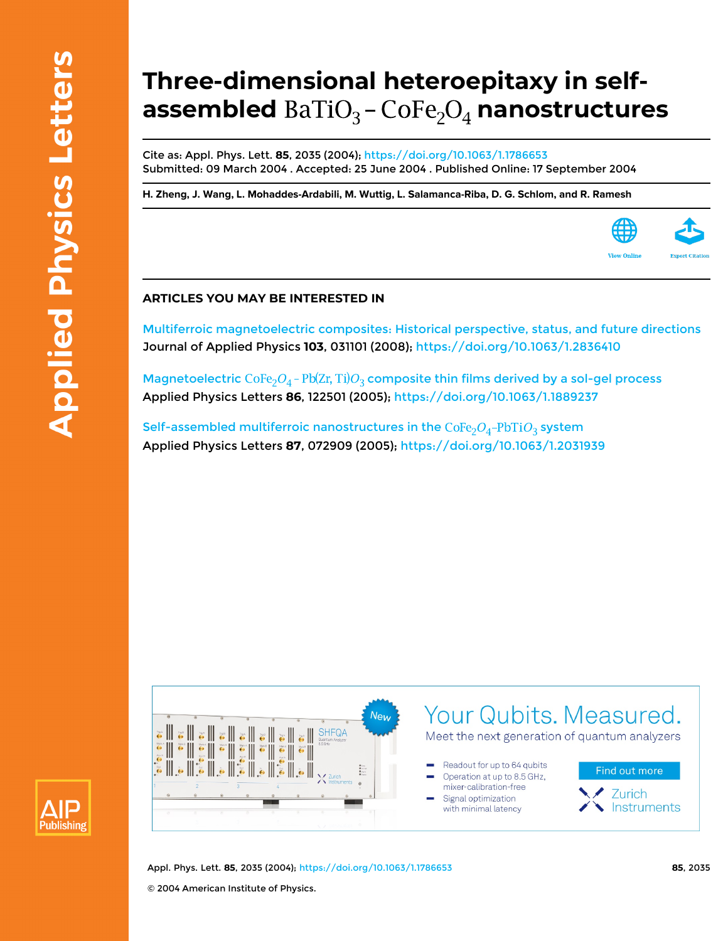## **Three-dimensional heteroepitaxy in selfassembled** BaTiO<sub>3</sub> - CoFe<sub>2</sub>O<sub>4</sub> nanostructures

Cite as: Appl. Phys. Lett. **85**, 2035 (2004);<https://doi.org/10.1063/1.1786653> Submitted: 09 March 2004 . Accepted: 25 June 2004 . Published Online: 17 September 2004

**[H. Zheng](https://aip.scitation.org/author/Zheng%2C+H), [J. Wang](https://aip.scitation.org/author/Wang%2C+J), [L. Mohaddes-Ardabili](https://aip.scitation.org/author/Mohaddes-Ardabili%2C+L), [M. Wuttig](https://aip.scitation.org/author/Wuttig%2C+M), [L. Salamanca-Riba,](https://aip.scitation.org/author/Salamanca-Riba%2C+L) [D. G. Schlom,](https://aip.scitation.org/author/Schlom%2C+D+G) and [R. Ramesh](https://aip.scitation.org/author/Ramesh%2C+R)**



[Multiferroic magnetoelectric composites: Historical perspective, status, and future directions](https://aip.scitation.org/doi/10.1063/1.2836410) Journal of Applied Physics **103**, 031101 (2008);<https://doi.org/10.1063/1.2836410>

Magnetoelectric  $\text{CoFe}_{2}O_{4}$  -  $\text{Pb(Zr, Ti)}O_{3}$  composite thin films derived by a sol-gel process Applied Physics Letters **86**, 122501 (2005); <https://doi.org/10.1063/1.1889237>

Self-assembled multiferroic nanostructures in the  $\text{CoFe}_{2}O_{4}-\text{PbTiO}_{3}$  system Applied Physics Letters **87**, 072909 (2005);<https://doi.org/10.1063/1.2031939>





Appl. Phys. Lett. **85**, 2035 (2004); <https://doi.org/10.1063/1.1786653> **85**, 2035 © 2004 American Institute of Physics.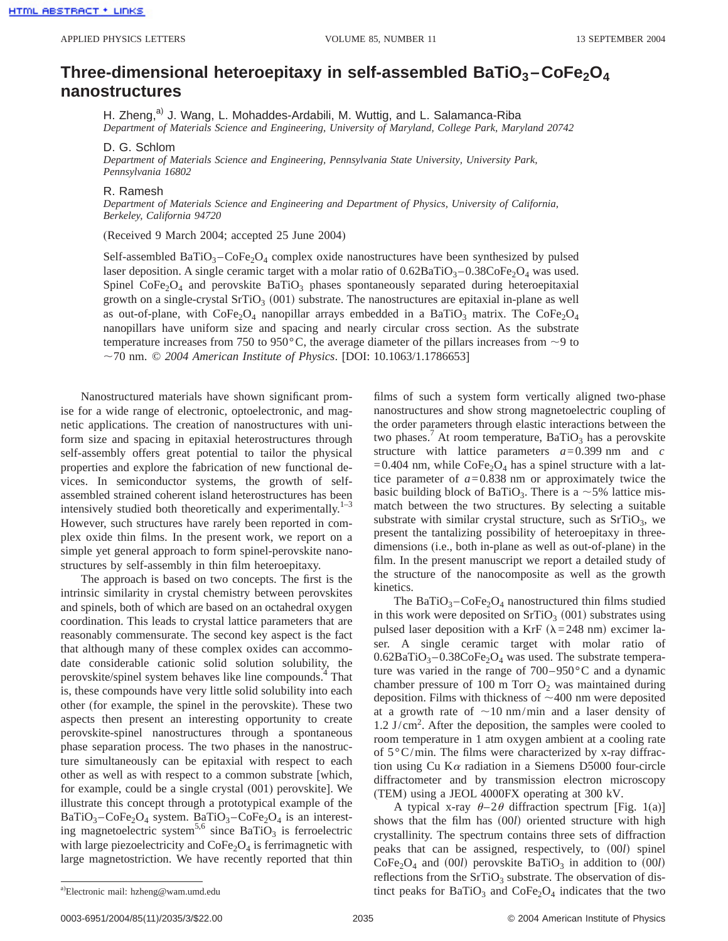## **Three-dimensional heteroepitaxy in self-assembled BaTiO3 –CoFe2O4 nanostructures**

H. Zheng,<sup>a)</sup> J. Wang, L. Mohaddes-Ardabili, M. Wuttig, and L. Salamanca-Riba

*Department of Materials Science and Engineering, University of Maryland, College Park, Maryland 20742*

D. G. Schlom

*Department of Materials Science and Engineering, Pennsylvania State University, University Park, Pennsylvania 16802*

## R. Ramesh

*Department of Materials Science and Engineering and Department of Physics, University of California, Berkeley, California 94720*

(Received 9 March 2004; accepted 25 June 2004)

Self-assembled  $BaTiO<sub>3</sub>-CoFe<sub>2</sub>O<sub>4</sub>$  complex oxide nanostructures have been synthesized by pulsed laser deposition. A single ceramic target with a molar ratio of  $0.62BaTiO<sub>3</sub> - 0.38CoFe<sub>2</sub>O<sub>4</sub>$  was used. Spinel  $\text{CoFe}_2\text{O}_4$  and perovskite BaTiO<sub>3</sub> phases spontaneously separated during heteroepitaxial growth on a single-crystal SrTiO<sub>3</sub> (001) substrate. The nanostructures are epitaxial in-plane as well as out-of-plane, with  $\text{CoFe}_2\text{O}_4$  nanopillar arrays embedded in a BaTiO<sub>3</sub> matrix. The CoFe<sub>2</sub>O<sub>4</sub> nanopillars have uniform size and spacing and nearly circular cross section. As the substrate temperature increases from 750 to 950 $^{\circ}$ C, the average diameter of the pillars increases from  $\sim$ 9 to ,70 nm. © *2004 American Institute of Physics*. [DOI: 10.1063/1.1786653]

Nanostructured materials have shown significant promise for a wide range of electronic, optoelectronic, and magnetic applications. The creation of nanostructures with uniform size and spacing in epitaxial heterostructures through self-assembly offers great potential to tailor the physical properties and explore the fabrication of new functional devices. In semiconductor systems, the growth of selfassembled strained coherent island heterostructures has been intensively studied both theoretically and experimentally. $1-3$ However, such structures have rarely been reported in complex oxide thin films. In the present work, we report on a simple yet general approach to form spinel-perovskite nanostructures by self-assembly in thin film heteroepitaxy.

The approach is based on two concepts. The first is the intrinsic similarity in crystal chemistry between perovskites and spinels, both of which are based on an octahedral oxygen coordination. This leads to crystal lattice parameters that are reasonably commensurate. The second key aspect is the fact that although many of these complex oxides can accommodate considerable cationic solid solution solubility, the perovskite/spinel system behaves like line compounds.<sup>4</sup> That is, these compounds have very little solid solubility into each other (for example, the spinel in the perovskite). These two aspects then present an interesting opportunity to create perovskite-spinel nanostructures through a spontaneous phase separation process. The two phases in the nanostructure simultaneously can be epitaxial with respect to each other as well as with respect to a common substrate [which, for example, could be a single crystal (001) perovskite]. We illustrate this concept through a prototypical example of the  $BaTiO<sub>3</sub> - CoFe<sub>2</sub>O<sub>4</sub>$  system.  $BaTiO<sub>3</sub> - CoFe<sub>2</sub>O<sub>4</sub>$  is an interesting magnetoelectric system<sup>5,6</sup> since BaTiO<sub>3</sub> is ferroelectric with large piezoelectricity and  $\text{CoFe}_2\text{O}_4$  is ferrimagnetic with large magnetostriction. We have recently reported that thin films of such a system form vertically aligned two-phase nanostructures and show strong magnetoelectric coupling of the order parameters through elastic interactions between the two phases.<sup>7</sup> At room temperature, BaTiO<sub>3</sub> has a perovskite structure with lattice parameters *a*=0.399 nm and *c*  $=0.404$  nm, while CoFe<sub>2</sub>O<sub>4</sub> has a spinel structure with a lattice parameter of  $a=0.838$  nm or approximately twice the basic building block of BaTiO<sub>3</sub>. There is a  $\sim$  5% lattice mismatch between the two structures. By selecting a suitable substrate with similar crystal structure, such as  $SrTiO<sub>3</sub>$ , we present the tantalizing possibility of heteroepitaxy in threedimensions (i.e., both in-plane as well as out-of-plane) in the film. In the present manuscript we report a detailed study of the structure of the nanocomposite as well as the growth kinetics.

The BaTiO<sub>3</sub> $-CoFe<sub>2</sub>O<sub>4</sub>$  nanostructured thin films studied in this work were deposited on  $SrTiO<sub>3</sub>$  (001) substrates using pulsed laser deposition with a KrF ( $\lambda$ =248 nm) excimer laser. A single ceramic target with molar ratio of  $0.62BaTiO<sub>3</sub> - 0.38CoFe<sub>2</sub>O<sub>4</sub>$  was used. The substrate temperature was varied in the range of 700–950°C and a dynamic chamber pressure of 100 m Torr  $O_2$  was maintained during deposition. Films with thickness of  $\sim$  400 nm were deposited at a growth rate of  $\sim$ 10 nm/min and a laser density of 1.2 J/cm<sup>2</sup> . After the deposition, the samples were cooled to room temperature in 1 atm oxygen ambient at a cooling rate of  $5^{\circ}$ C/min. The films were characterized by x-ray diffraction using Cu K $\alpha$  radiation in a Siemens D5000 four-circle diffractometer and by transmission electron microscopy (TEM) using a JEOL 4000FX operating at 300 kV.

A typical x-ray  $\theta$ -2 $\theta$  diffraction spectrum [Fig. 1(a)] shows that the film has  $(00l)$  oriented structure with high crystallinity. The spectrum contains three sets of diffraction peaks that can be assigned, respectively, to  $(00l)$  spinel  $CoFe<sub>2</sub>O<sub>4</sub>$  and (00*l*) perovskite BaTiO<sub>3</sub> in addition to (00*l*) reflections from the  $SrTiO<sub>3</sub>$  substrate. The observation of distinct peaks for  $BaTiO<sub>3</sub>$  and  $CoFe<sub>2</sub>O<sub>4</sub>$  indicates that the two

<sup>&</sup>lt;sup>a)</sup>Electronic mail: hzheng@wam.umd.edu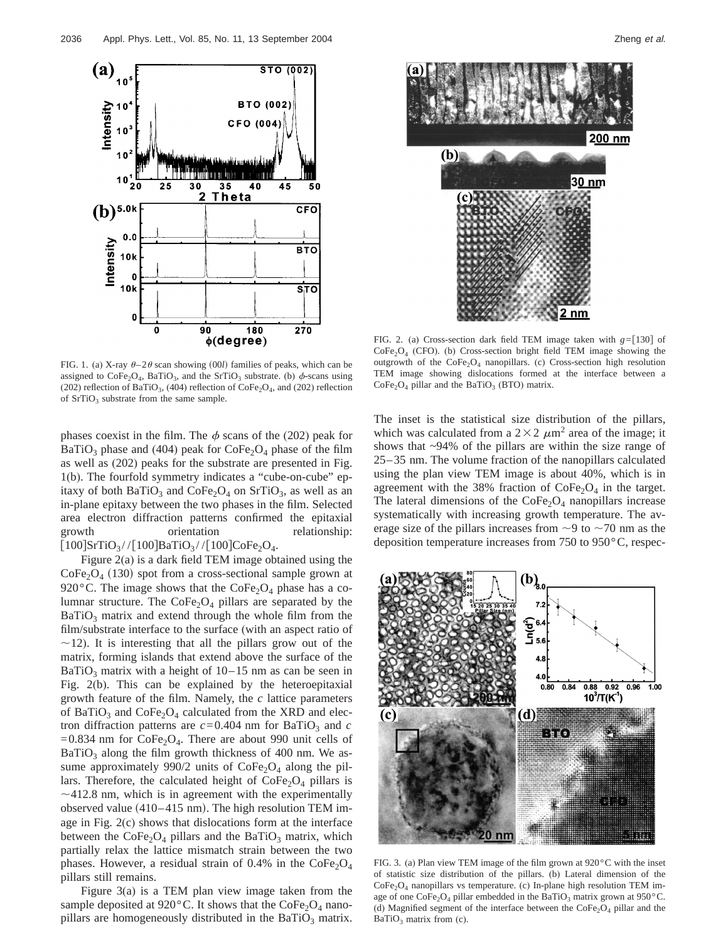



FIG. 1. (a) X-ray  $\theta$ -2 $\theta$  scan showing (00*l*) families of peaks, which can be assigned to  $\text{CoFe}_2\text{O}_4$ , BaTiO<sub>3</sub>, and the SrTiO<sub>3</sub> substrate. (b)  $\phi$ -scans using (202) reflection of BaTiO<sub>3</sub>, (404) reflection of CoFe<sub>2</sub>O<sub>4</sub>, and (202) reflection of  $SrTiO<sub>3</sub>$  substrate from the same sample.

phases coexist in the film. The  $\phi$  scans of the (202) peak for BaTiO<sub>3</sub> phase and (404) peak for  $\text{CoFe}_2\text{O}_4$  phase of the film as well as (202) peaks for the substrate are presented in Fig. 1(b). The fourfold symmetry indicates a "cube-on-cube" epitaxy of both BaTiO<sub>3</sub> and CoFe<sub>2</sub>O<sub>4</sub> on SrTiO<sub>3</sub>, as well as an in-plane epitaxy between the two phases in the film. Selected area electron diffraction patterns confirmed the epitaxial growth orientation relationship:  $[100]$ SrTiO<sub>3</sub>// $[100]$ BaTiO<sub>3</sub>// $[100]$ CoFe<sub>2</sub>O<sub>4</sub>.

Figure 2(a) is a dark field TEM image obtained using the  $\text{CoFe}_2\text{O}_4$  (130) spot from a cross-sectional sample grown at 920 $^{\circ}$ C. The image shows that the CoFe<sub>2</sub>O<sub>4</sub> phase has a columnar structure. The  $CoFe<sub>2</sub>O<sub>4</sub>$  pillars are separated by the  $BaTiO<sub>3</sub>$  matrix and extend through the whole film from the film/substrate interface to the surface (with an aspect ratio of  $\sim$ 12). It is interesting that all the pillars grow out of the matrix, forming islands that extend above the surface of the BaTiO<sub>3</sub> matrix with a height of  $10-15$  nm as can be seen in Fig. 2(b). This can be explained by the heteroepitaxial growth feature of the film. Namely, the *c* lattice parameters of BaTiO<sub>3</sub> and CoFe<sub>2</sub>O<sub>4</sub> calculated from the XRD and electron diffraction patterns are  $c = 0.404$  nm for BaTiO<sub>3</sub> and  $c$  $=0.834$  nm for CoFe<sub>2</sub>O<sub>4</sub>. There are about 990 unit cells of  $BaTiO<sub>3</sub>$  along the film growth thickness of 400 nm. We assume approximately 990/2 units of  $\text{CoFe}_2\text{O}_4$  along the pillars. Therefore, the calculated height of  $\text{CoFe}_2\text{O}_4$  pillars is  $\sim$ 412.8 nm, which is in agreement with the experimentally observed value  $(410-415 \text{ nm})$ . The high resolution TEM image in Fig. 2(c) shows that dislocations form at the interface between the  $CoFe<sub>2</sub>O<sub>4</sub>$  pillars and the BaTiO<sub>3</sub> matrix, which partially relax the lattice mismatch strain between the two phases. However, a residual strain of 0.4% in the  $\text{CoFe}_2\text{O}_4$ pillars still remains.

Figure 3(a) is a TEM plan view image taken from the sample deposited at 920 $^{\circ}$ C. It shows that the CoFe<sub>2</sub>O<sub>4</sub> nanopillars are homogeneously distributed in the  $BaTiO<sub>3</sub>$  matrix.

FIG. 2. (a) Cross-section dark field TEM image taken with  $g = [130]$  of  $CoFe<sub>2</sub>O<sub>4</sub>$  (CFO). (b) Cross-section bright field TEM image showing the outgrowth of the  $\text{CoFe}_2\text{O}_4$  nanopillars. (c) Cross-section high resolution TEM image showing dislocations formed at the interface between a  $CoFe<sub>2</sub>O<sub>4</sub>$  pillar and the BaTiO<sub>3</sub> (BTO) matrix.

The inset is the statistical size distribution of the pillars, which was calculated from a  $2\times2 \ \mu m^2$  area of the image; it shows that ~94% of the pillars are within the size range of 25–35 nm. The volume fraction of the nanopillars calculated using the plan view TEM image is about 40%, which is in agreement with the 38% fraction of  $\text{CoFe}_2\text{O}_4$  in the target. The lateral dimensions of the  $CoFe<sub>2</sub>O<sub>4</sub>$  nanopillars increase systematically with increasing growth temperature. The average size of the pillars increases from  $\sim$ 9 to  $\sim$ 70 nm as the deposition temperature increases from 750 to 950°C, respec-



FIG. 3. (a) Plan view TEM image of the film grown at 920°C with the inset of statistic size distribution of the pillars. (b) Lateral dimension of the CoFe2O4 nanopillars vs temperature. (c) In-plane high resolution TEM image of one CoFe<sub>2</sub>O<sub>4</sub> pillar embedded in the BaTiO<sub>3</sub> matrix grown at 950°C. (d) Magnified segment of the interface between the  $\text{CoFe}_2\text{O}_4$  pillar and the  $BaTiO<sub>3</sub>$  matrix from (c).